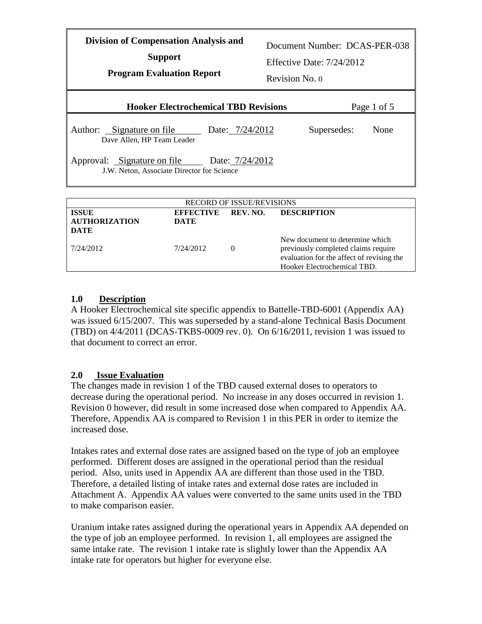| <b>Division of Compensation Analysis and</b><br><b>Support</b><br><b>Program Evaluation Report</b> | Revision No. 0 | Document Number: DCAS-PER-038<br>Effective Date: $7/24/2012$ |             |
|----------------------------------------------------------------------------------------------------|----------------|--------------------------------------------------------------|-------------|
| <b>Hooker Electrochemical TBD Revisions</b>                                                        |                |                                                              | Page 1 of 5 |
| Author: Signature on file<br>Date: 7/24/2012<br>Dave Allen, HP Team Leader                         |                | Supersedes:                                                  | None        |
| Approval: Signature on file Date: 7/24/2012<br>J.W. Neton, Associate Director for Science          |                |                                                              |             |
|                                                                                                    |                |                                                              |             |
| <b>RECORD OF ISSUE/REVISIONS</b>                                                                   |                |                                                              |             |
| <b>ISSUE</b><br><b>BRECTIVE</b>                                                                    | REV. NO.       | <b>DESCRIPTION</b>                                           |             |

| <b>ISSUE</b><br><b>AUTHORIZATION</b><br><b>DATE</b> | <b>EFFECTIVE</b><br><b>DATE</b> | REV. NO. | <b>DESCRIPTION</b>                                                                                                                                 |
|-----------------------------------------------------|---------------------------------|----------|----------------------------------------------------------------------------------------------------------------------------------------------------|
| 7/24/2012                                           | 7/24/2012                       | $\theta$ | New document to determine which<br>previously completed claims require<br>evaluation for the affect of revising the<br>Hooker Electrochemical TBD. |

# **1.0 Description**

A Hooker Electrochemical site specific appendix to Battelle-TBD-6001 (Appendix AA) was issued 6/15/2007. This was superseded by a stand-alone Technical Basis Document (TBD) on 4/4/2011 (DCAS-TKBS-0009 rev. 0). On 6/16/2011, revision 1 was issued to that document to correct an error.

### **2.0 Issue Evaluation**

The changes made in revision 1 of the TBD caused external doses to operators to decrease during the operational period. No increase in any doses occurred in revision 1. Revision 0 however, did result in some increased dose when compared to Appendix AA. Therefore, Appendix AA is compared to Revision 1 in this PER in order to itemize the increased dose.

Intakes rates and external dose rates are assigned based on the type of job an employee performed. Different doses are assigned in the operational period than the residual period. Also, units used in Appendix AA are different than those used in the TBD. Therefore, a detailed listing of intake rates and external dose rates are included in Attachment A. Appendix AA values were converted to the same units used in the TBD to make comparison easier.

Uranium intake rates assigned during the operational years in Appendix AA depended on the type of job an employee performed. In revision 1, all employees are assigned the same intake rate. The revision 1 intake rate is slightly lower than the Appendix AA intake rate for operators but higher for everyone else.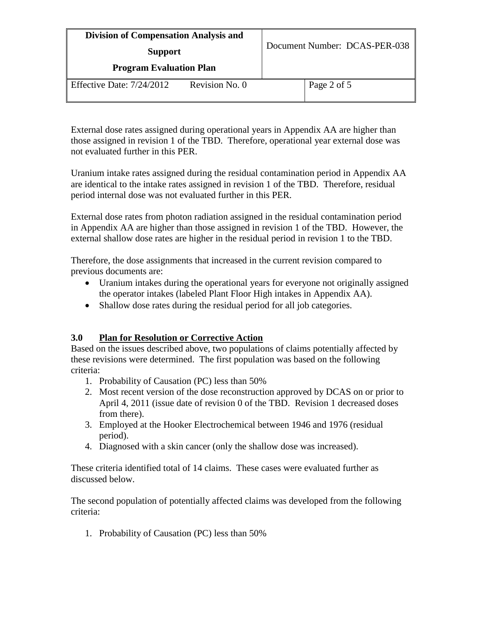| <b>Division of Compensation Analysis and</b><br><b>Support</b><br><b>Program Evaluation Plan</b> |  | Document Number: DCAS-PER-038 |  |
|--------------------------------------------------------------------------------------------------|--|-------------------------------|--|
|                                                                                                  |  |                               |  |

External dose rates assigned during operational years in Appendix AA are higher than those assigned in revision 1 of the TBD. Therefore, operational year external dose was not evaluated further in this PER.

Uranium intake rates assigned during the residual contamination period in Appendix AA are identical to the intake rates assigned in revision 1 of the TBD. Therefore, residual period internal dose was not evaluated further in this PER.

External dose rates from photon radiation assigned in the residual contamination period in Appendix AA are higher than those assigned in revision 1 of the TBD. However, the external shallow dose rates are higher in the residual period in revision 1 to the TBD.

Therefore, the dose assignments that increased in the current revision compared to previous documents are:

- Uranium intakes during the operational years for everyone not originally assigned the operator intakes (labeled Plant Floor High intakes in Appendix AA).
- Shallow dose rates during the residual period for all job categories.

### **3.0 Plan for Resolution or Corrective Action**

Based on the issues described above, two populations of claims potentially affected by these revisions were determined. The first population was based on the following criteria:

- 1. Probability of Causation (PC) less than 50%
- 2. Most recent version of the dose reconstruction approved by DCAS on or prior to April 4, 2011 (issue date of revision 0 of the TBD. Revision 1 decreased doses from there).
- 3. Employed at the Hooker Electrochemical between 1946 and 1976 (residual period).
- 4. Diagnosed with a skin cancer (only the shallow dose was increased).

These criteria identified total of 14 claims. These cases were evaluated further as discussed below.

The second population of potentially affected claims was developed from the following criteria:

1. Probability of Causation (PC) less than 50%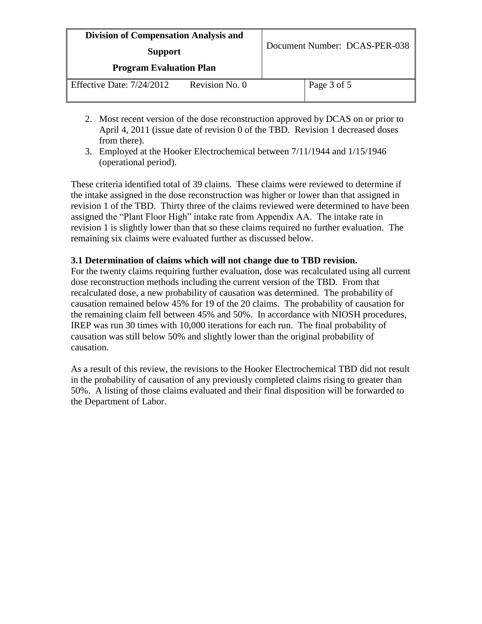| <b>Division of Compensation Analysis and</b><br><b>Support</b><br><b>Program Evaluation Plan</b> |  | Document Number: DCAS-PER-038 |  |
|--------------------------------------------------------------------------------------------------|--|-------------------------------|--|
| Revision No. 0<br>Effective Date: 7/24/2012                                                      |  | Page 3 of 5                   |  |

- 2. Most recent version of the dose reconstruction approved by DCAS on or prior to April 4, 2011 (issue date of revision 0 of the TBD. Revision 1 decreased doses from there).
- 3. Employed at the Hooker Electrochemical between 7/11/1944 and 1/15/1946 (operational period).

These criteria identified total of 39 claims. These claims were reviewed to determine if the intake assigned in the dose reconstruction was higher or lower than that assigned in revision 1 of the TBD. Thirty three of the claims reviewed were determined to have been assigned the "Plant Floor High" intake rate from Appendix AA. The intake rate in revision 1 is slightly lower than that so these claims required no further evaluation. The remaining six claims were evaluated further as discussed below.

### **3.1 Determination of claims which will not change due to TBD revision.**

For the twenty claims requiring further evaluation, dose was recalculated using all current dose reconstruction methods including the current version of the TBD. From that recalculated dose, a new probability of causation was determined. The probability of causation remained below 45% for 19 of the 20 claims. The probability of causation for the remaining claim fell between 45% and 50%. In accordance with NIOSH procedures, IREP was run 30 times with 10,000 iterations for each run. The final probability of causation was still below 50% and slightly lower than the original probability of causation.

As a result of this review, the revisions to the Hooker Electrochemical TBD did not result in the probability of causation of any previously completed claims rising to greater than 50%. A listing of those claims evaluated and their final disposition will be forwarded to the Department of Labor.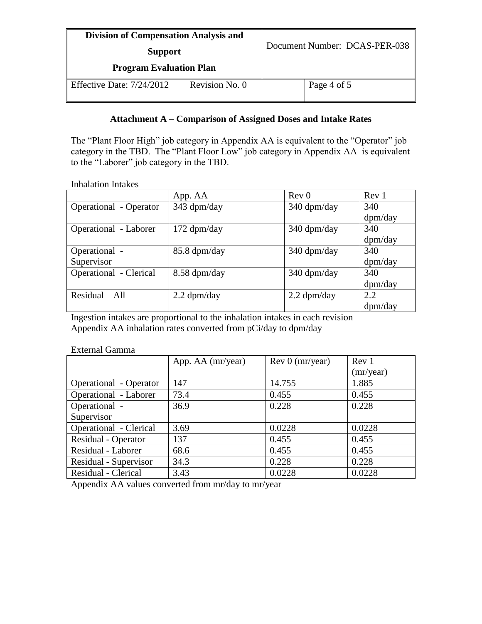| <b>Division of Compensation Analysis and</b><br><b>Support</b><br><b>Program Evaluation Plan</b> |                | Document Number: DCAS-PER-038 |             |
|--------------------------------------------------------------------------------------------------|----------------|-------------------------------|-------------|
|                                                                                                  |                |                               |             |
| Effective Date: 7/24/2012                                                                        | Revision No. 0 |                               | Page 4 of 5 |

# **Attachment A – Comparison of Assigned Doses and Intake Rates**

The "Plant Floor High" job category in Appendix AA is equivalent to the "Operator" job category in the TBD. The "Plant Floor Low" job category in Appendix AA is equivalent to the "Laborer" job category in the TBD.

Inhalation Intakes

|                               | App. AA       | Rev <sub>0</sub> | Rev 1   |
|-------------------------------|---------------|------------------|---------|
| <b>Operational</b> - Operator | 343 dpm/day   | 340 dpm/day      | 340     |
|                               |               |                  | dpm/day |
| Operational - Laborer         | $172$ dpm/day | 340 dpm/day      | 340     |
|                               |               |                  | dpm/day |
| Operational -                 | 85.8 dpm/day  | 340 dpm/day      | 340     |
| Supervisor                    |               |                  | dpm/day |
| Operational - Clerical        | 8.58 dpm/day  | 340 dpm/day      | 340     |
|                               |               |                  | dpm/day |
| $Residual - All$              | $2.2$ dpm/day | $2.2$ dpm/day    | 2.2     |
|                               |               |                  | dpm/day |

Ingestion intakes are proportional to the inhalation intakes in each revision Appendix AA inhalation rates converted from pCi/day to dpm/day

#### External Gamma

|                               | App. AA (mr/year) | Rev 0 (mr/year) | Rev 1     |
|-------------------------------|-------------------|-----------------|-----------|
|                               |                   |                 | (mr/year) |
| <b>Operational</b> - Operator | 147               | 14.755          | 1.885     |
| Operational - Laborer         | 73.4              | 0.455           | 0.455     |
| Operational -                 | 36.9              | 0.228           | 0.228     |
| Supervisor                    |                   |                 |           |
| Operational - Clerical        | 3.69              | 0.0228          | 0.0228    |
| Residual - Operator           | 137               | 0.455           | 0.455     |
| Residual - Laborer            | 68.6              | 0.455           | 0.455     |
| Residual - Supervisor         | 34.3              | 0.228           | 0.228     |
| Residual - Clerical           | 3.43              | 0.0228          | 0.0228    |

Appendix AA values converted from mr/day to mr/year